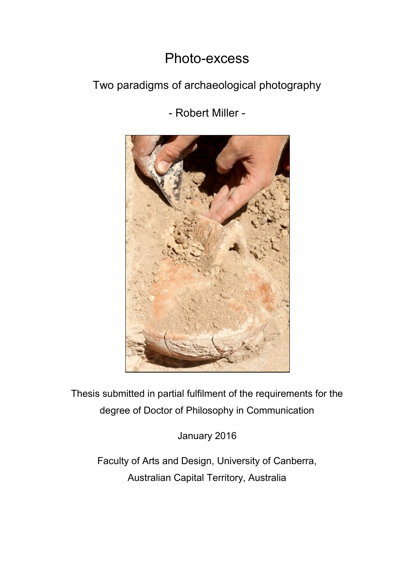# Photo-excess

### Two paradigms of archaeological photography

- Robert Miller -



Thesis submitted in partial fulfilment of the requirements for the degree of Doctor of Philosophy in Communication

January 2016

Faculty of Arts and Design, University of Canberra, Australian Capital Territory, Australia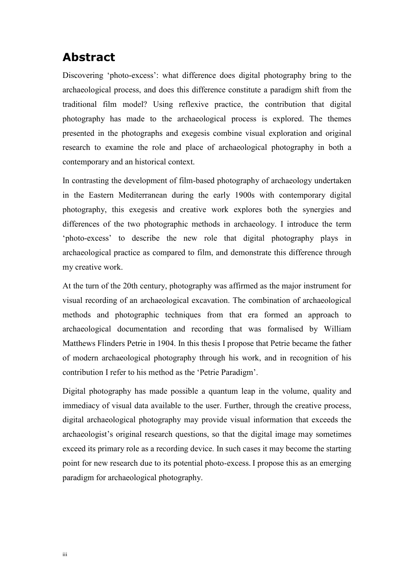### **Abstract**

Discovering 'photo-excess': what difference does digital photography bring to the archaeological process, and does this difference constitute a paradigm shift from the traditional film model? Using reflexive practice, the contribution that digital photography has made to the archaeological process is explored. The themes presented in the photographs and exegesis combine visual exploration and original research to examine the role and place of archaeological photography in both a contemporary and an historical context.

In contrasting the development of film-based photography of archaeology undertaken in the Eastern Mediterranean during the early 1900s with contemporary digital photography, this exegesis and creative work explores both the synergies and differences of the two photographic methods in archaeology. I introduce the term 'photo-excess' to describe the new role that digital photography plays in archaeological practice as compared to film, and demonstrate this difference through my creative work.

At the turn of the 20th century, photography was affirmed as the major instrument for visual recording of an archaeological excavation. The combination of archaeological methods and photographic techniques from that era formed an approach to archaeological documentation and recording that was formalised by William Matthews Flinders Petrie in 1904. In this thesis I propose that Petrie became the father of modern archaeological photography through his work, and in recognition of his contribution I refer to his method as the 'Petrie Paradigm'.

Digital photography has made possible a quantum leap in the volume, quality and immediacy of visual data available to the user. Further, through the creative process, digital archaeological photography may provide visual information that exceeds the archaeologist's original research questions, so that the digital image may sometimes exceed its primary role as a recording device. In such cases it may become the starting point for new research due to its potential photo-excess. I propose this as an emerging paradigm for archaeological photography.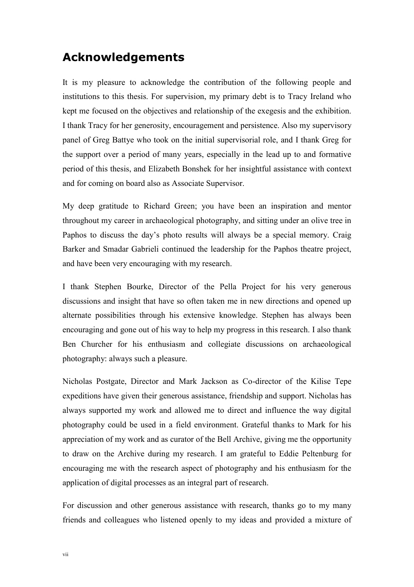#### **Acknowledgements**

It is my pleasure to acknowledge the contribution of the following people and institutions to this thesis. For supervision, my primary debt is to Tracy Ireland who kept me focused on the objectives and relationship of the exegesis and the exhibition. I thank Tracy for her generosity, encouragement and persistence. Also my supervisory panel of Greg Battye who took on the initial supervisorial role, and I thank Greg for the support over a period of many years, especially in the lead up to and formative period of this thesis, and Elizabeth Bonshek for her insightful assistance with context and for coming on board also as Associate Supervisor.

My deep gratitude to Richard Green; you have been an inspiration and mentor throughout my career in archaeological photography, and sitting under an olive tree in Paphos to discuss the day's photo results will always be a special memory. Craig Barker and Smadar Gabrieli continued the leadership for the Paphos theatre project, and have been very encouraging with my research.

I thank Stephen Bourke, Director of the Pella Project for his very generous discussions and insight that have so often taken me in new directions and opened up alternate possibilities through his extensive knowledge. Stephen has always been encouraging and gone out of his way to help my progress in this research. I also thank Ben Churcher for his enthusiasm and collegiate discussions on archaeological photography: always such a pleasure.

Nicholas Postgate, Director and Mark Jackson as Co-director of the Kilise Tepe expeditions have given their generous assistance, friendship and support. Nicholas has always supported my work and allowed me to direct and influence the way digital photography could be used in a field environment. Grateful thanks to Mark for his appreciation of my work and as curator of the Bell Archive, giving me the opportunity to draw on the Archive during my research. I am grateful to Eddie Peltenburg for encouraging me with the research aspect of photography and his enthusiasm for the application of digital processes as an integral part of research.

For discussion and other generous assistance with research, thanks go to my many friends and colleagues who listened openly to my ideas and provided a mixture of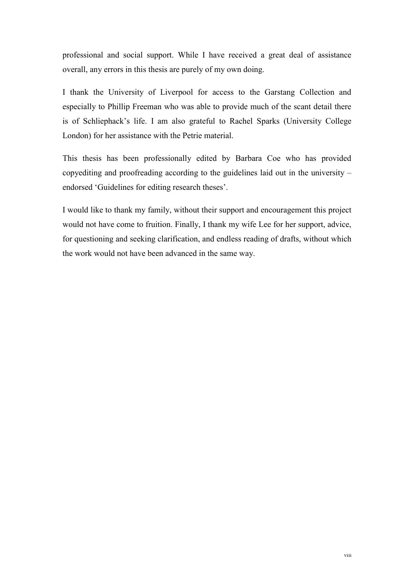professional and social support. While I have received a great deal of assistance overall, any errors in this thesis are purely of my own doing.

I thank the University of Liverpool for access to the Garstang Collection and especially to Phillip Freeman who was able to provide much of the scant detail there is of Schliephack's life. I am also grateful to Rachel Sparks (University College London) for her assistance with the Petrie material.

This thesis has been professionally edited by Barbara Coe who has provided copyediting and proofreading according to the guidelines laid out in the university – endorsed 'Guidelines for editing research theses'.

I would like to thank my family, without their support and encouragement this project would not have come to fruition. Finally, I thank my wife Lee for her support, advice, for questioning and seeking clarification, and endless reading of drafts, without which the work would not have been advanced in the same way.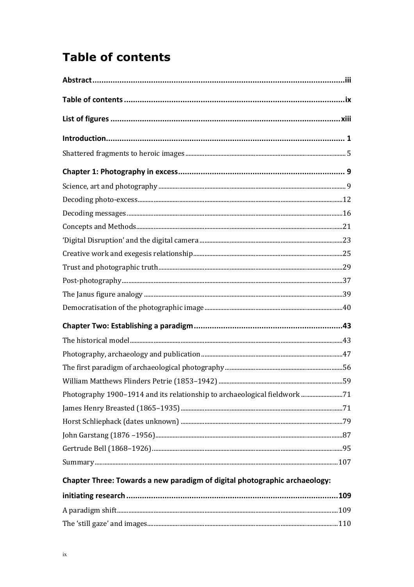# **Table of contents**

| Photography 1900-1914 and its relationship to archaeological fieldwork 71 |  |
|---------------------------------------------------------------------------|--|
|                                                                           |  |
|                                                                           |  |
|                                                                           |  |
|                                                                           |  |
|                                                                           |  |
|                                                                           |  |

#### Chapter Three: Towards a new paradigm of digital photographic archaeology: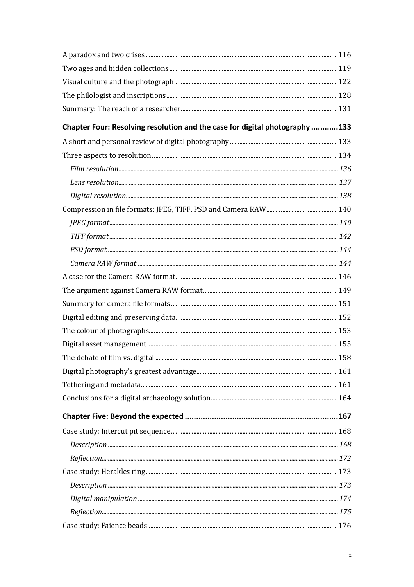| Chapter Four: Resolving resolution and the case for digital photography133 |  |
|----------------------------------------------------------------------------|--|
|                                                                            |  |
|                                                                            |  |
|                                                                            |  |
|                                                                            |  |
|                                                                            |  |
|                                                                            |  |
|                                                                            |  |
|                                                                            |  |
|                                                                            |  |
|                                                                            |  |
|                                                                            |  |
|                                                                            |  |
|                                                                            |  |
|                                                                            |  |
|                                                                            |  |
|                                                                            |  |
|                                                                            |  |
|                                                                            |  |
|                                                                            |  |
|                                                                            |  |
|                                                                            |  |
|                                                                            |  |
|                                                                            |  |
|                                                                            |  |
|                                                                            |  |
|                                                                            |  |
|                                                                            |  |
|                                                                            |  |
|                                                                            |  |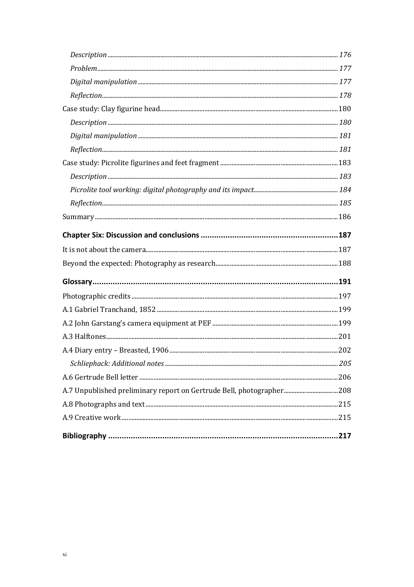| A.7 Unpublished preliminary report on Gertrude Bell, photographer 208 |  |
|-----------------------------------------------------------------------|--|
|                                                                       |  |
|                                                                       |  |
|                                                                       |  |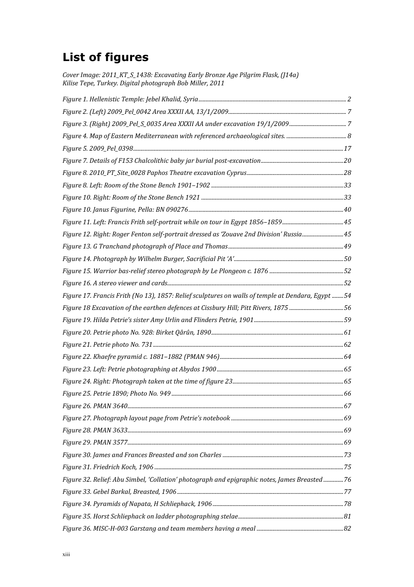### **List of figures**

*Cover Image: 2011\_KT\_S\_1438: Excavating Early Bronze Age Pilgrim Flask, (J14a) Kilise Tepe, Turkey. Digital photograph Bob Miller, 2011*

| Figure 12. Right: Roger Fenton self-portrait dressed as 'Zouave 2nd Division' Russia45            |  |
|---------------------------------------------------------------------------------------------------|--|
|                                                                                                   |  |
|                                                                                                   |  |
|                                                                                                   |  |
|                                                                                                   |  |
| Figure 17. Francis Frith (No 13), 1857: Relief sculptures on walls of temple at Dendara, Egypt 54 |  |
| Figure 18 Excavation of the earthen defences at Cissbury Hill; Pitt Rivers, 187556                |  |
|                                                                                                   |  |
|                                                                                                   |  |
|                                                                                                   |  |
|                                                                                                   |  |
|                                                                                                   |  |
|                                                                                                   |  |
|                                                                                                   |  |
|                                                                                                   |  |
|                                                                                                   |  |
|                                                                                                   |  |
|                                                                                                   |  |
|                                                                                                   |  |
|                                                                                                   |  |
| Figure 32. Relief: Abu Simbel, 'Collation' photograph and epigraphic notes, James Breasted 76     |  |
|                                                                                                   |  |
|                                                                                                   |  |
|                                                                                                   |  |
|                                                                                                   |  |